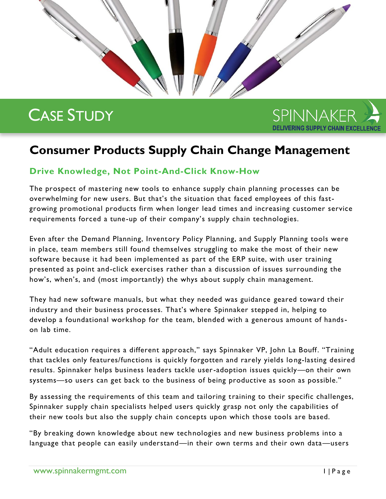# CASE STUDY



# **Consumer Products Supply Chain Change Management**

## **Drive Knowledge, Not Point-And-Click Know-How**

The prospect of mastering new tools to enhance supply chain planning processes can be overwhelming for new users. But that's the situation that faced employees of this fastgrowing promotional products firm when longer lead times and increasing customer service requirements forced a tune-up of their company's supply chain technologies.

Even after the Demand Planning, Inventory Policy Planning, and Supply Planning tools were in place, team members still found themselves struggling to make the most of their new software because it had been implemented as part of the ERP suite, with user training presented as point and-click exercises rather than a discussion of issues surrounding the how's, when's, and (most importantly) the whys about supply chain management.

They had new software manuals, but what they needed was guidance geared toward their industry and their business processes. That's where Spinnaker stepped in, helping to develop a foundational workshop for the team, blended with a generous amount of handson lab time.

"Adult education requires a different approach," says Spinnaker VP, John La Bouff. "Training that tackles only features/functions is quickly forgotten and rarely yields lo ng-lasting desired results. Spinnaker helps business leaders tackle user-adoption issues quickly—on their own systems—so users can get back to the business of being productive as soon as possible."

By assessing the requirements of this team and tailoring training to their specific challenges, Spinnaker supply chain specialists helped users quickly grasp not only the capabilities of their new tools but also the supply chain concepts upon which those tools are based.

"By breaking down knowledge about new technologies and new business problems into a language that people can easily understand—in their own terms and their own data—users